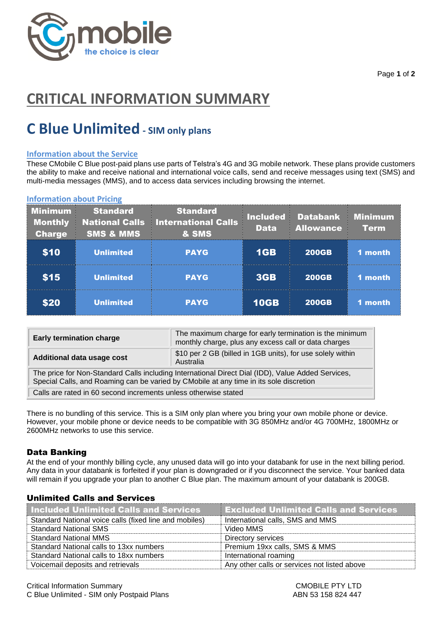

Page **1** of **2**

# **CRITICAL INFORMATION SUMMARY**

# **C Blue Unlimited - SIM only plans**

## **Information about the Service**

These CMobile C Blue post-paid plans use parts of Telstra's 4G and 3G mobile network. These plans provide customers the ability to make and receive national and international voice calls, send and receive messages using text (SMS) and multi-media messages (MMS), and to access data services including browsing the internet.

### **Information about Pricing**

| <b>Minimum</b><br><b>Monthly</b><br><b>Charge</b> | <b>Standard</b><br><b>National Calls</b><br><b>SMS &amp; MMS</b> | <b>Standard</b><br><b>International Calls</b><br>& SMS | <b>Included</b><br><b>Data</b> | <b>Databank</b><br><b>Allowance</b> | <b>Minimum</b><br><b>Term</b> |
|---------------------------------------------------|------------------------------------------------------------------|--------------------------------------------------------|--------------------------------|-------------------------------------|-------------------------------|
| \$10                                              | <b>Unlimited</b>                                                 | <b>PAYG</b>                                            | 1GB                            | <b>200GB</b>                        | 1 month                       |
| \$15                                              | <b>Unlimited</b>                                                 | <b>PAYG</b>                                            | <b>3GB</b>                     | <b>200GB</b>                        | 1 month                       |
| \$20                                              | <b>Unlimited</b>                                                 | <b>PAYG</b>                                            | <b>10GB</b>                    | <b>200GB</b>                        | 1 month                       |

| <b>Early termination charge</b>                                                                                                                                                             | The maximum charge for early termination is the minimum<br>monthly charge, plus any excess call or data charges |  |  |  |
|---------------------------------------------------------------------------------------------------------------------------------------------------------------------------------------------|-----------------------------------------------------------------------------------------------------------------|--|--|--|
| Additional data usage cost                                                                                                                                                                  | \$10 per 2 GB (billed in 1GB units), for use solely within<br>Australia                                         |  |  |  |
| The price for Non-Standard Calls including International Direct Dial (IDD), Value Added Services,<br>Special Calls, and Roaming can be varied by CMobile at any time in its sole discretion |                                                                                                                 |  |  |  |
| Calls are rated in 60 second increments unless otherwise stated                                                                                                                             |                                                                                                                 |  |  |  |

There is no bundling of this service. This is a SIM only plan where you bring your own mobile phone or device. However, your mobile phone or device needs to be compatible with 3G 850MHz and/or 4G 700MHz, 1800MHz or 2600MHz networks to use this service.

## Data Banking

At the end of your monthly billing cycle, any unused data will go into your databank for use in the next billing period. Any data in your databank is forfeited if your plan is downgraded or if you disconnect the service. Your banked data will remain if you upgrade your plan to another C Blue plan. The maximum amount of your databank is 200GB.

| <b>Included Unlimited Calls and Services</b>           | <b>Excluded Unlimited Calls and Services</b> |  |  |  |  |
|--------------------------------------------------------|----------------------------------------------|--|--|--|--|
| Standard National voice calls (fixed line and mobiles) | International calls, SMS and MMS             |  |  |  |  |
| <b>Standard National SMS</b>                           | Video MMS                                    |  |  |  |  |
| <b>Standard National MMS</b>                           | Directory services                           |  |  |  |  |
| Standard National calls to 13xx numbers                | Premium 19xx calls, SMS & MMS                |  |  |  |  |
| Standard National calls to 18xx numbers                | International roaming                        |  |  |  |  |
| Voicemail deposits and retrievals                      | Any other calls or services not listed above |  |  |  |  |

# Unlimited Calls and Services